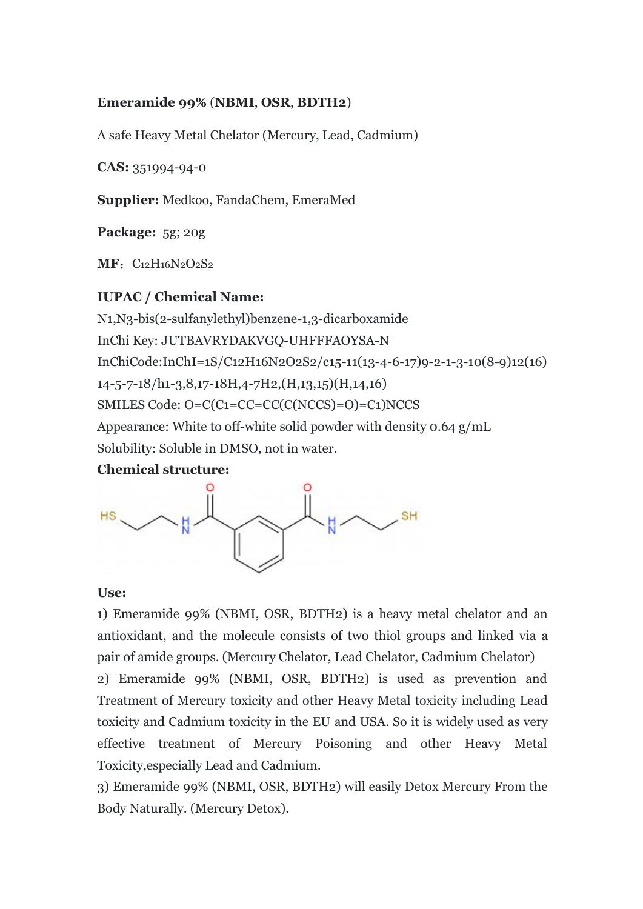### **Emeramide 99%** (**NBMI**, **OSR**, **BDTH2**)

A safe Heavy Metal Chelator (Mercury, Lead, Cadmium)

**CAS:** 351994-94-0

**Supplier:** Medkoo, FandaChem, EmeraMed

**Package:** 5g; 20g

**MF**: C<sub>12</sub>H<sub>16</sub>N<sub>2</sub>O<sub>2</sub>S<sub>2</sub>

# **IUPAC / Chemical Name:**

N1,N3-bis(2-sulfanylethyl)benzene-1,3-dicarboxamide InChi Key: JUTBAVRYDAKVGQ-UHFFFAOYSA-N InChiCode:InChI=1S/C12H16N2O2S2/c15-11(13-4-6-17)9-2-1-3-10(8-9)12(16) 14-5-7-18/h1-3,8,17-18H,4-7H2,(H,13,15)(H,14,16) SMILES Code: O=C(C1=CC=CC(C(NCCS)=O)=C1)NCCS Appearance: White to off-white solid powder with density 0.64 g/mL Solubility: Soluble in DMSO, not in water.

## **Chemical structure:**



#### **Use:**

1) Emeramide 99% (NBMI, OSR, BDTH2) is a heavy metal chelator and an antioxidant, and the molecule consists of two thiol groups and linked via a pair of amide groups. (Mercury Chelator, Lead Chelator, Cadmium Chelator) 2) Emeramide 99% (NBMI, OSR, BDTH2) is used as prevention and Treatment of Mercury toxicity and other Heavy Metal toxicity including Lead

toxicity and Cadmium toxicity in the EU and USA. So it is widely used as very effective treatment of Mercury Poisoning and other Heavy Metal Toxicity,especially Lead and Cadmium.

3) Emeramide 99% (NBMI, OSR, BDTH2) will easily Detox Mercury From the Body Naturally. (Mercury Detox).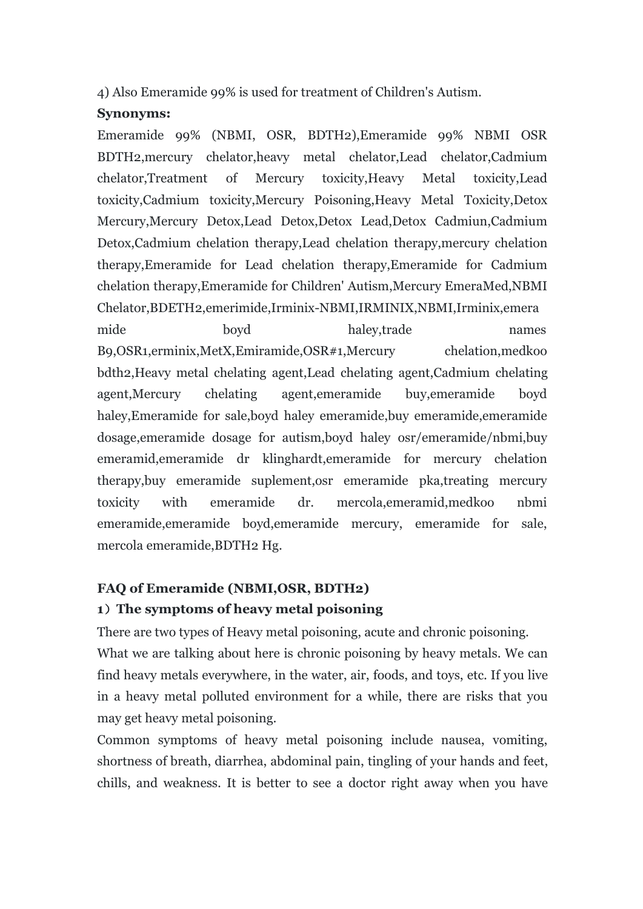4) Also Emeramide 99% is used for treatment of Children's Autism.

# **Synonyms:**

Emeramide 99% (NBMI, OSR, BDTH2),Emeramide 99% NBMI OSR BDTH2,mercury chelator,heavy metal chelator,Lead chelator,Cadmium chelator,Treatment of Mercury toxicity,Heavy Metal toxicity,Lead toxicity,Cadmium toxicity,Mercury Poisoning,Heavy Metal Toxicity,Detox Mercury,Mercury Detox,Lead Detox,Detox Lead,Detox Cadmiun,Cadmium Detox,Cadmium chelation therapy,Lead chelation therapy,mercury chelation therapy,Emeramide for Lead chelation therapy,Emeramide for Cadmium chelation therapy,Emeramide for Children' Autism,Mercury EmeraMed,NBMI Chelator,BDETH2,emerimide,Irminix-NBMI,IRMINIX,NBMI,Irminix,emera mide boyd haley,trade names B9,OSR1,erminix,MetX,Emiramide,OSR#1,Mercury chelation,medkoo bdth2,Heavy metal chelating agent,Lead chelating agent,Cadmium chelating agent,Mercury chelating agent,emeramide buy,emeramide boyd haley, Emeramide for sale, boyd haley emeramide, buy emeramide, emeramide dosage,emeramide dosage for autism,boyd haley osr/emeramide/nbmi,buy emeramid,emeramide dr klinghardt,emeramide for mercury chelation therapy,buy emeramide suplement,osr emeramide pka,treating mercury toxicity with emeramide dr. mercola,emeramid,medkoo nbmi emeramide,emeramide boyd,emeramide mercury, emeramide for sale, mercola emeramide,BDTH2 Hg.

# **FAQ of Emeramide (NBMI,OSR, BDTH2)**

# **1**)**The symptoms of heavy metal poisoning**

There are two types of Heavy metal poisoning, acute and chronic poisoning. What we are talking about here is chronic poisoning by heavy metals. We can find heavy metals everywhere, in the water, air, foods, and toys, etc. If you live in a heavy metal polluted environment for a while, there are risks that you may get heavy metal poisoning.

Common symptoms of heavy metal poisoning include nausea, vomiting, shortness of breath, diarrhea, abdominal pain, tingling of your hands and feet, chills, and weakness. It is better to see a doctor right away when you have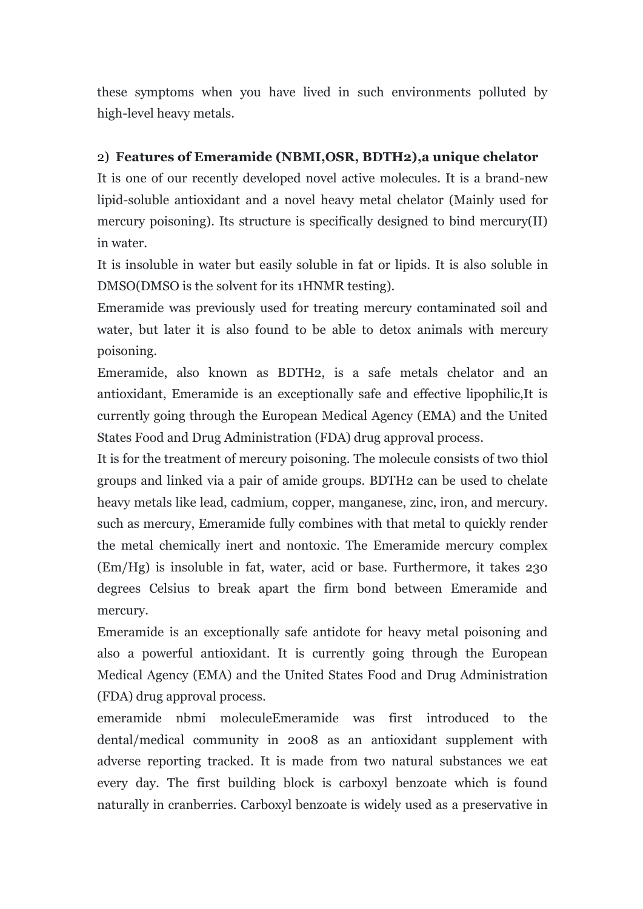these symptoms when you have lived in such environments polluted by high-level heavy metals.

# 2) **Features of Emeramide (NBMI,OSR, BDTH2),a unique chelator**

It is one of our recently developed novel active molecules. It is a brand-new lipid-soluble antioxidant and a novel heavy metal chelator (Mainly used for mercury poisoning). Its structure is specifically designed to bind mercury(II) in water.

It is insoluble in water but easily soluble in fat or lipids. It is also soluble in DMSO(DMSO is the solvent for its 1HNMR testing).

Emeramide was previously used for treating mercury contaminated soil and water, but later it is also found to be able to detox animals with mercury poisoning.

Emeramide, also known as BDTH2, is a safe metals chelator and an antioxidant, Emeramide is an exceptionally safe and effective lipophilic,It is currently going through the European Medical Agency (EMA) and the United States Food and Drug Administration (FDA) drug approval process.

It is for the treatment of mercury poisoning. The molecule consists of two thiol groups and linked via a pair of amide groups. BDTH2 can be used to chelate heavy metals like lead, cadmium, copper, manganese, zinc, iron, and mercury. such as mercury, Emeramide fully combines with that metal to quickly render the metal chemically inert and nontoxic. The Emeramide mercury complex (Em/Hg) is insoluble in fat, water, acid or base.Furthermore, it takes 230 degrees Celsius to break apart the firm bond between Emeramide and mercury.

Emeramide is an exceptionally safe antidote for heavy metal poisoning and also a powerful antioxidant. It is currently going through the European Medical Agency (EMA) and the United States Food and Drug Administration (FDA) drug approval process.

emeramide nbmi moleculeEmeramide was first introduced to the dental/medical community in 2008 as an antioxidant supplement with adverse reporting tracked. It is made from two natural substances we eat every day. The first building block is carboxyl benzoate which is found naturally in cranberries. Carboxyl benzoate is widely used as a preservative in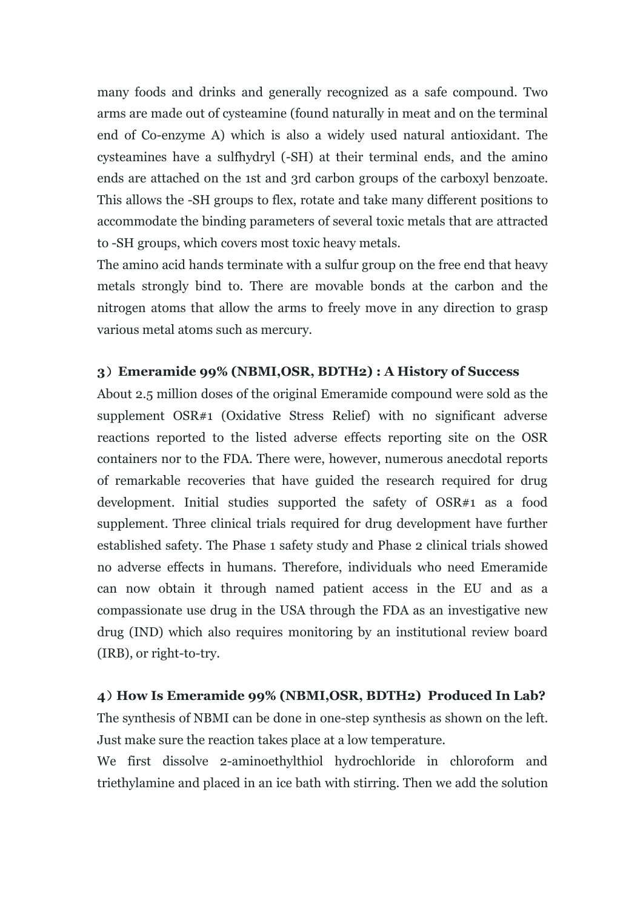many foods and drinks and generally recognized as a safe compound. Two arms are made out of cysteamine (found naturally in meat and on the terminal end of Co-enzyme A) which is also a widely used natural antioxidant. The cysteamines have a sulfhydryl (-SH) at their terminal ends, and the amino ends are attached on the 1st and 3rd carbon groups of the carboxyl benzoate. This allows the -SH groups to flex, rotate and take many different positions to accommodate the binding parameters of several toxic metals that are attracted to -SH groups, which covers most toxic heavy metals.

The amino acid hands terminate with a sulfur group on the free end that heavy metals strongly bind to.There are movable bonds at the carbon and the nitrogen atoms that allow the arms to freely move in any direction to grasp various metal atoms such as mercury.

# **3**)**Emeramide 99% (NBMI,OSR, BDTH2) : A History of Success**

About 2.5 million doses of the original Emeramide compound were sold as the supplement OSR#1 (Oxidative Stress Relief) with no significant adverse reactions reported to the listed adverse effects reporting site on the OSR containers nor to the FDA. There were, however, numerous anecdotal reports of remarkable recoveries that have guided the research required for drug development. Initial studies supported the safety of OSR#1 as a food supplement. Three clinical trials required for drug development have further established safety. The Phase 1 safety study and Phase 2 clinical trials showed no adverse effects in humans. Therefore, individuals who need Emeramide can now obtain it through named patient access in the EU and as a compassionate use drug in the USA through the FDA as an investigative new drug (IND) which also requires monitoring by an institutional review board (IRB), or right-to-try.

## **4**)**How Is Emeramide 99% (NBMI,OSR, BDTH2) Produced In Lab?**

The synthesis of NBMI can be done in one-step synthesis as shown on the left. Just make sure the reaction takes place at a low temperature.

We first dissolve 2-aminoethylthiol hydrochloride in chloroform and triethylamine and placed in an ice bath with stirring. Then we add the solution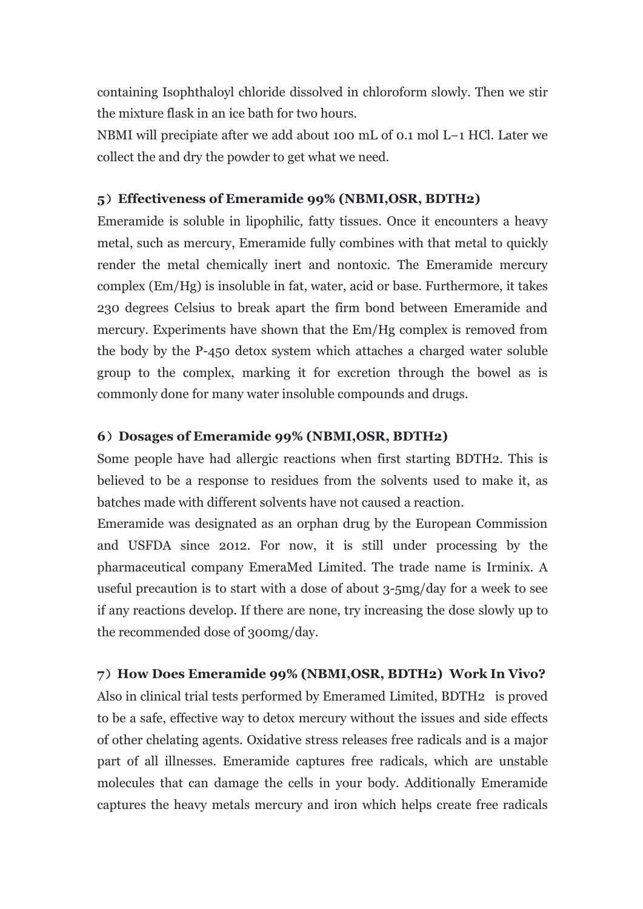containing Isophthaloyl chloride dissolved in chloroform slowly. Then westir the mixture flask in an ice bath for two hours.

NBMI will precipiate after we add about 100 mL of 0.1 mol L−1 HCl. Later we collect the and dry the powder to get what we need.

#### **5**)**Effectiveness of Emeramide 99% (NBMI,OSR, BDTH2)**

Emeramide is soluble in lipophilic, fatty tissues. Once it encounters a heavy metal, such as mercury, Emeramide fully combines with that metal to quickly render the metal chemically inert and nontoxic. The Emeramide mercury complex (Em/Hg) is insoluble in fat, water, acid or base. Furthermore, it takes 230 degrees Celsius to break apart the firm bond between Emeramide and mercury. Experiments have shown that the Em/Hg complex is removed from the body by the P-450 detox system which attaches a charged water soluble group to the complex, marking it for excretion through the bowel as is commonly done for many water insoluble compounds and drugs.

#### **6**)**Dosages of Emeramide 99% (NBMI,OSR, BDTH2)**

Some people have had allergic reactions when first starting BDTH2. This is believed to be a response to residues from the solvents used to make it, as batches made with different solvents have not caused a reaction.

Emeramide was designated as an orphan drug by the European Commission and USFDA since 2012. For now, it is still under processing by the pharmaceutical company EmeraMed Limited. The trade name is Irminix. A useful precaution is to start with a dose of about 3-5mg/day for a week to see if any reactions develop. If there are none, try increasing the dose slowly up to the recommended dose of 300mg/day.

#### **7**)**How Does Emeramide 99% (NBMI,OSR, BDTH2) Work In Vivo?**

Also in clinical trial tests performed by Emeramed Limited, BDTH2 is proved to be a safe, effective way to detox mercury without the issues and side effects of other chelating agents. Oxidative stress releases free radicals and is a major part of all illnesses. Emeramide captures free radicals, which are unstable molecules that can damage the cells in your body. Additionally Emeramide captures the heavy metals mercury and iron which helps create free radicals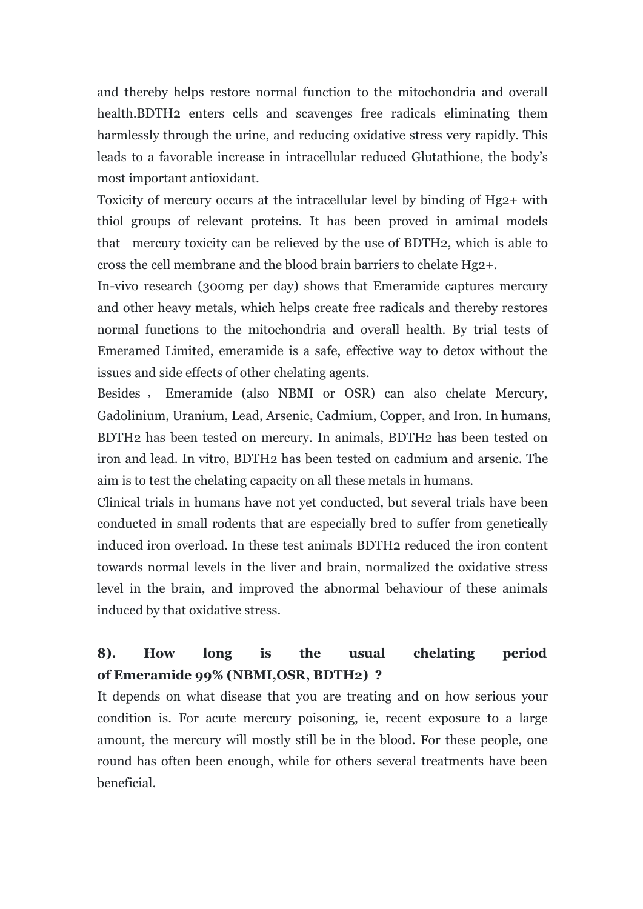and thereby helps restore normal function to the mitochondria and overall health.BDTH2 enters cells and scavenges free radicals eliminating them harmlessly through the urine, and reducing oxidative stress very rapidly. This leads to a favorable increase in intracellular reduced Glutathione, the body's most important antioxidant.

Toxicity of mercury occurs at the intracellular levelby binding of Hg2+ with thiol groups of relevant proteins. It has been proved in amimal models that mercury toxicity can be relieved by the use of BDTH2, which is able to cross the cell membrane and the blood brain barriers to chelate Hg2+.

In-vivo research (300mg per day) shows that Emeramide captures mercury and other heavy metals, which helps create free radicals and thereby restores normal functions to the mitochondria and overall health. By trial tests of Emeramed Limited, emeramide is a safe, effective way to detox without the issues and side effects of other chelating agents.

Besides , Emeramide (also NBMI or OSR) can also chelate Mercury, Gadolinium, Uranium, Lead, Arsenic, Cadmium, Copper, and Iron. In humans, BDTH2 has been tested on mercury. In animals, BDTH2 has been tested on iron and lead. In vitro, BDTH2 has been tested on cadmium and arsenic. The aim is to test the chelating capacity on all these metals in humans.

Clinical trials in humans have not yet conducted, but several trials have been conducted in small rodents that are especially bred to suffer from genetically induced iron overload. In these test animals BDTH2 reduced the iron content towards normal levels in the liver and brain, normalized the oxidative stress level in the brain, and improved the abnormal behaviour of these animals induced by that oxidative stress.

# **8). How long is the usual chelating period of Emeramide 99% (NBMI,OSR, BDTH2) ?**

It depends on what disease that you are treating and on how serious your condition is. For acute mercury poisoning, ie, recent exposure to a large amount, the mercury will mostly still be in the blood. For these people, one round has often been enough, while for others several treatments have been beneficial.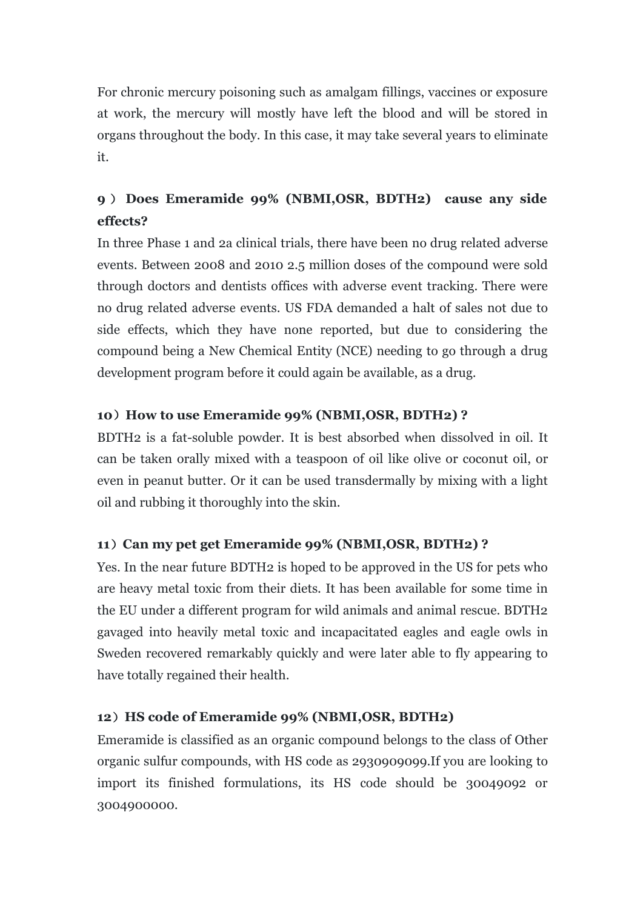For chronic mercury poisoning such as amalgam fillings, vaccines or exposure at work, the mercury will mostly have left the blood and will be stored in organs throughout the body. In this case, it may take several years to eliminate it.

# **9** ) **Does Emeramide 99% (NBMI,OSR, BDTH2) cause any side effects?**

In three Phase 1 and 2a clinical trials, there have been no drug related adverse events. Between 2008 and 2010 2.5 million doses of the compound were sold through doctors and dentists offices with adverse event tracking. There were no drug related adverse events. US FDA demanded a halt of sales not due to side effects, which they have none reported, but due to considering the compound being a New Chemical Entity (NCE) needing to go through a drug development program before it could again be available, as a drug.

# **10**)**How to use Emeramide 99% (NBMI,OSR, BDTH2) ?**

BDTH2 is a fat-soluble powder. It is best absorbed when dissolved in oil. It can be taken orally mixed with a teaspoon of oil like olive or coconut oil, or even in peanut butter. Or it can be used transdermally by mixing with a light oil and rubbing it thoroughly into the skin.

# **11**)**Can my pet get Emeramide 99% (NBMI,OSR, BDTH2) ?**

Yes. In the near future BDTH2 is hoped to be approved in the US for pets who are heavy metal toxic from their diets. It has been available for some time in the EU under a different program for wild animals and animal rescue. BDTH2 gavaged into heavily metal toxic and incapacitated eagles and eagle owls in Sweden recovered remarkably quickly and were later able to fly appearing to have totally regained their health.

## **12**)**HS code of Emeramide 99% (NBMI,OSR, BDTH2)**

Emeramide is classified as an organic compound belongs to the class of Other organic sulfur compounds, with HS code as 2930909099.If you are looking to import its finished formulations, its HS code should be 30049092 or 3004900000.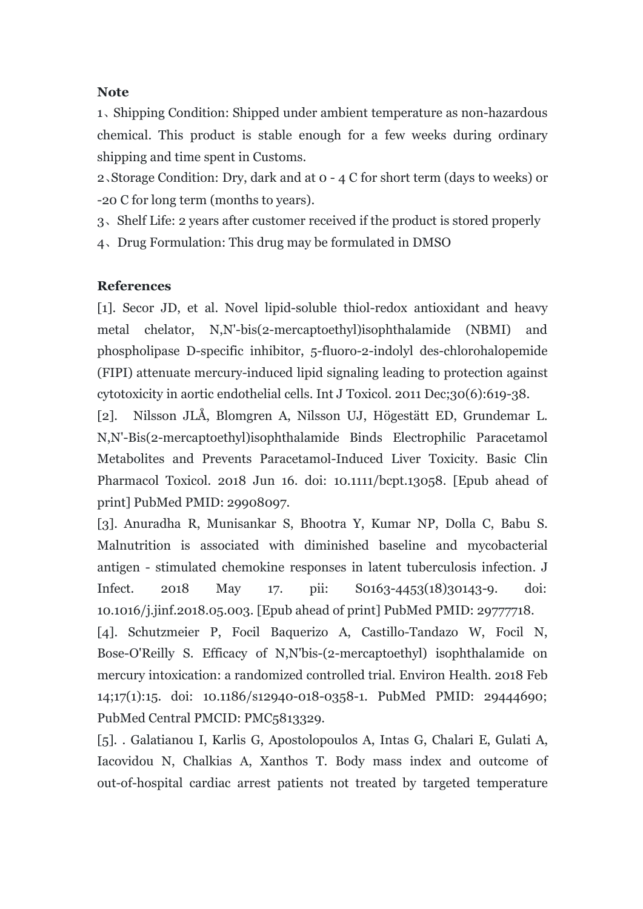# **Note**

1、Shipping Condition: Shipped under ambient temperature as non-hazardous chemical. This product is stable enough for a few weeks during ordinary shipping and time spent in Customs.

2、Storage Condition: Dry, dark and at 0 - 4 C forshort term (days to weeks) or -20 C for long term (months to years).

3、Shelf Life: 2 years after customer received if the product is stored properly

4、Drug Formulation: This drug may be formulated in DMSO

# **References**

[1]. Secor JD, et al. Novel lipid-soluble thiol-redox antioxidant and heavy metal chelator, N,N'-bis(2-mercaptoethyl)isophthalamide (NBMI) and phospholipase D-specific inhibitor, 5-fluoro-2-indolyl des-chlorohalopemide (FIPI) attenuate mercury-induced lipid signaling leading to protection against cytotoxicity in aortic endothelial cells. Int J Toxicol. 2011 Dec;30(6):619-38.

[2]. Nilsson JLÅ, Blomgren A, Nilsson UJ, Högestätt ED, Grundemar L. N,N'-Bis(2-mercaptoethyl)isophthalamide Binds Electrophilic Paracetamol Metabolites and Prevents Paracetamol-Induced Liver Toxicity. Basic Clin Pharmacol Toxicol. 2018 Jun 16. doi: 10.1111/bcpt.13058. [Epub ahead of print] PubMed PMID: 29908097.

[3]. Anuradha R, Munisankar S, Bhootra Y, Kumar NP, Dolla C, Babu S. Malnutrition is associated with diminished baseline and mycobacterial antigen - stimulated chemokine responses in latent tuberculosis infection. J Infect. 2018 May 17. pii: S0163-4453(18)30143-9. doi: 10.1016/j.jinf.2018.05.003. [Epub ahead of print] PubMed PMID: 29777718.

[4]. Schutzmeier P, Focil Baquerizo A, Castillo-Tandazo W, Focil N, Bose-O'Reilly S. Efficacy of N,N'bis-(2-mercaptoethyl) isophthalamide on mercury intoxication: a randomized controlled trial. Environ Health. 2018 Feb 14;17(1):15. doi: 10.1186/s12940-018-0358-1. PubMed PMID: 29444690; PubMed Central PMCID: PMC5813329.

[5]. . Galatianou I, Karlis G, Apostolopoulos A, Intas G, Chalari E, Gulati A, Iacovidou N, Chalkias A, Xanthos T. Body mass index and outcome of out-of-hospital cardiac arrest patients not treated bytargeted temperature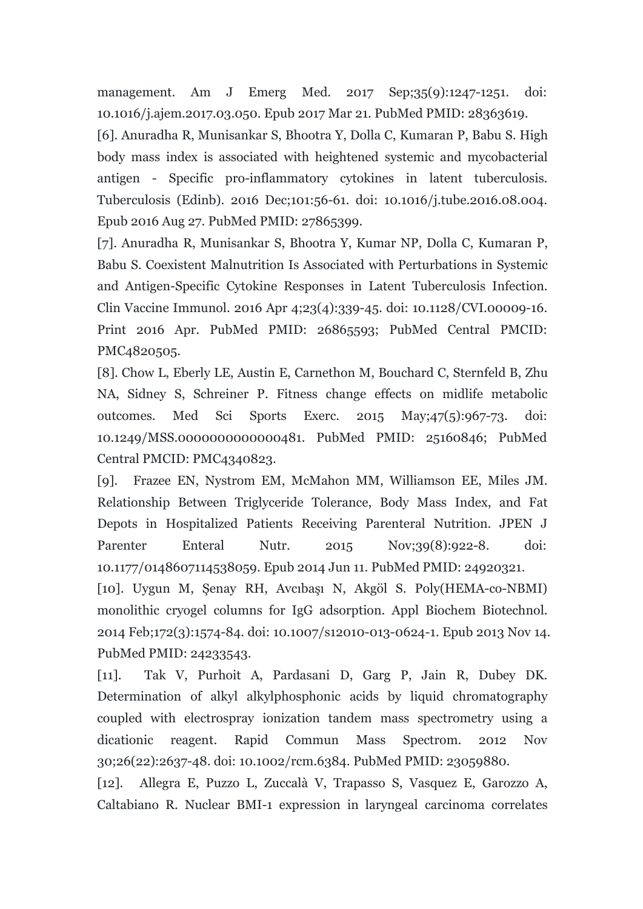management. Am J Emerg Med. 2017 Sep;35(9):1247-1251. doi: 10.1016/j.ajem.2017.03.050. Epub 2017 Mar 21. PubMed PMID: 28363619.

[6]. Anuradha R, Munisankar S, Bhootra Y, Dolla C, Kumaran P, Babu S. High body mass index is associated with heightened systemic and mycobacterial antigen - Specific pro-inflammatory cytokines in latent tuberculosis. Tuberculosis (Edinb). 2016 Dec;101:56-61. doi: 10.1016/j.tube.2016.08.004. Epub 2016 Aug 27. PubMed PMID: 27865399.

[7]. Anuradha R, Munisankar S, Bhootra Y, Kumar NP, Dolla C, Kumaran P, Babu S. Coexistent Malnutrition Is Associated with Perturbations in Systemic and Antigen-Specific Cytokine Responses in Latent Tuberculosis Infection. Clin Vaccine Immunol. 2016 Apr 4;23(4):339-45. doi: 10.1128/CVI.00009-16. Print 2016 Apr. PubMed PMID: 26865593; PubMed Central PMCID: PMC4820505.

[8]. Chow L, Eberly LE, Austin E, Carnethon M, Bouchard C, Sternfeld B, Zhu NA, Sidney S, Schreiner P. Fitness change effects on midlife metabolic outcomes. Med Sci Sports Exerc. 2015 May;47(5):967-73. doi: 10.1249/MSS.0000000000000481. PubMed PMID: 25160846; PubMed Central PMCID: PMC4340823.

[9]. Frazee EN, Nystrom EM, McMahon MM, Williamson EE, Miles JM. Relationship Between Triglyceride Tolerance, Body Mass Index, and Fat Depots in Hospitalized Patients Receiving Parenteral Nutrition. JPEN J Parenter Enteral Nutr. 2015 Nov;39(8):922-8. doi: 10.1177/0148607114538059. Epub 2014 Jun 11. PubMed PMID: 24920321.

[10]. Uygun M, Şenay RH, Avcıbaşı N, Akgöl S. Poly(HEMA-co-NBMI) monolithic cryogel columns for IgG adsorption. Appl Biochem Biotechnol. 2014 Feb;172(3):1574-84. doi: 10.1007/s12010-013-0624-1. Epub 2013 Nov 14. PubMed PMID: 24233543.

[11]. Tak V, Purhoit A, Pardasani D, Garg P, Jain R, Dubey DK. Determination of alkyl alkylphosphonic acids by liquid chromatography coupled with electrospray ionization tandem mass spectrometry using a dicationic reagent. Rapid Commun Mass Spectrom. 2012 Nov 30;26(22):2637-48. doi: 10.1002/rcm.6384. PubMed PMID: 23059880.

[12]. Allegra E, Puzzo L, Zuccalà V, Trapasso S, Vasquez E, Garozzo A, Caltabiano R. Nuclear BMI-1 expression in laryngeal carcinoma correlates